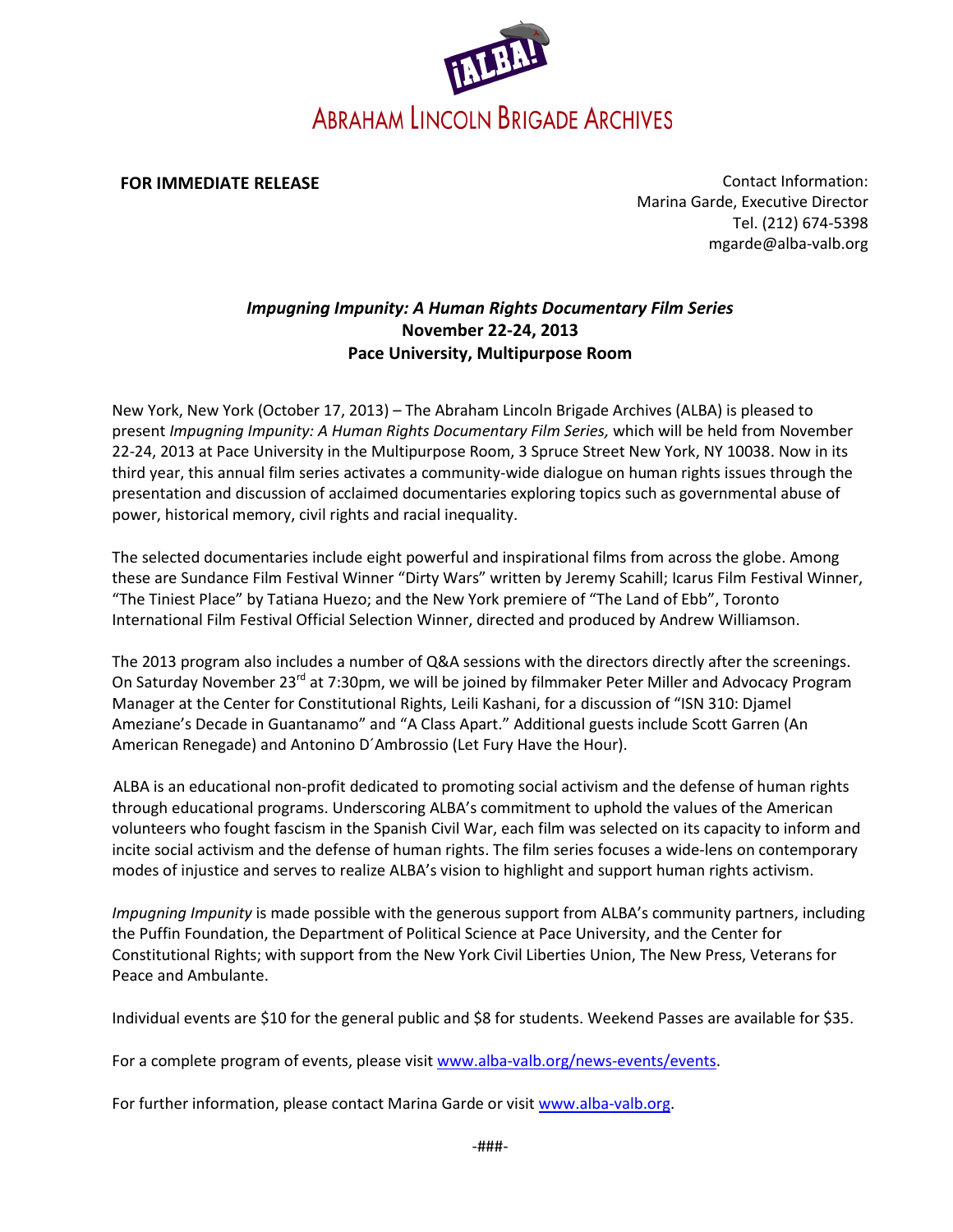

**FOR IMMEDIATE RELEASE**

Contact Information: Marina Garde, Executive Director Tel. (212) 674-5398 [mgarde@alba-valb.org](mailto:mgarde@alba-valb.org)

## *Impugning Impunity: A Human Rights Documentary Film Series* **November 22-24, 2013 Pace University, Multipurpose Room**

New York, New York (October 17, 2013) – The Abraham Lincoln Brigade Archives (ALBA) is pleased to present *Impugning Impunity: A Human Rights Documentary Film Series,* which will be held from November 22-24, 2013 at Pace University in the Multipurpose Room, 3 Spruce Street New York, NY 10038. Now in its third year, this annual film series activates a community-wide dialogue on human rights issues through the presentation and discussion of acclaimed documentaries exploring topics such as governmental abuse of power, historical memory, civil rights and racial inequality.

The selected documentaries include eight powerful and inspirational films from across the globe. Among these are Sundance Film Festival Winner "Dirty Wars" written by Jeremy Scahill; Icarus Film Festival Winner, "The Tiniest Place" by Tatiana Huezo; and the New York premiere of "The Land of Ebb", Toronto International Film Festival Official Selection Winner, directed and produced by Andrew Williamson.

The 2013 program also includes a number of Q&A sessions with the directors directly after the screenings. On Saturday November 23<sup>rd</sup> at 7:30pm, we will be joined by filmmaker Peter Miller and Advocacy Program Manager at the Center for Constitutional Rights, Leili Kashani, for a discussion of "ISN 310: Djamel Ameziane's Decade in Guantanamo" and "A Class Apart." Additional guests include Scott Garren (An American Renegade) and Antonino D´Ambrossio (Let Fury Have the Hour).

ALBA is an educational non-profit dedicated to promoting social activism and the defense of human rights through educational programs. Underscoring ALBA's commitment to uphold the values of the American volunteers who fought fascism in the Spanish Civil War, each film was selected on its capacity to inform and incite social activism and the defense of human rights. The film series focuses a wide-lens on contemporary modes of injustice and serves to realize ALBA's vision to highlight and support human rights activism.

*Impugning Impunity* is made possible with the generous support from ALBA's community partners, including the Puffin Foundation, the Department of Political Science at Pace University, and the Center for Constitutional Rights; with support from the New York Civil Liberties Union, The New Press, Veterans for Peace and Ambulante.

Individual events are \$10 for the general public and \$8 for students. Weekend Passes are available for \$35.

For a complete program of events, please visit [www.alba-valb.org/news-events/events.](http://www.alba-valb.org/news-events/events)

For further information, please contact Marina Garde or visit [www.alba-valb.org.](http://www.alba-valb.org/)